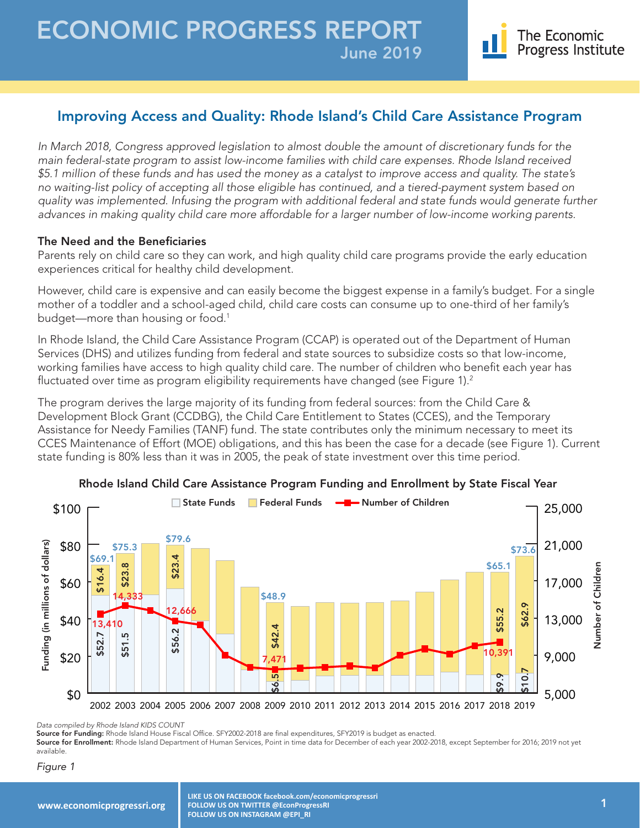

# Improving Access and Quality: Rhode Island's Child Care Assistance Program

*In March 2018, Congress approved legislation to almost double the amount of discretionary funds for the main federal-state program to assist low-income families with child care expenses. Rhode Island received \$5.1 million of these funds and has used the money as a catalyst to improve access and quality. The state's no waiting-list policy of accepting all those eligible has continued, and a tiered-payment system based on quality was implemented. Infusing the program with additional federal and state funds would generate further advances in making quality child care more affordable for a larger number of low-income working parents.*

#### The Need and the Beneficiaries

Parents rely on child care so they can work, and high quality child care programs provide the early education experiences critical for healthy child development.

However, child care is expensive and can easily become the biggest expense in a family's budget. For a single mother of a toddler and a school-aged child, child care costs can consume up to one-third of her family's budget—more than housing or food.<sup>1</sup>

In Rhode Island, the Child Care Assistance Program (CCAP) is operated out of the Department of Human Services (DHS) and utilizes funding from federal and state sources to subsidize costs so that low-income, working families have access to high quality child care. The number of children who benefit each year has fluctuated over time as program eligibility requirements have changed (see Figure 1).<sup>2</sup>

The program derives the large majority of its funding from federal sources: from the Child Care & Development Block Grant (CCDBG), the Child Care Entitlement to States (CCES), and the Temporary Assistance for Needy Families (TANF) fund. The state contributes only the minimum necessary to meet its CCES Maintenance of Effort (MOE) obligations, and this has been the case for a decade (see Figure 1). Current state funding is 80% less than it was in 2005, the peak of state investment over this time period.



#### Rhode Island Child Care Assistance Program Funding and Enrollment by State Fiscal Year

*Data compiled by Rhode Island KIDS COUNT*

Source for Funding: Rhode Island House Fiscal Office. SFY2002-2018 are final expenditures, SFY2019 is budget as enacted.

Source for Enrollment: Rhode Island Department of Human Services, Point in time data for December of each year 2002-2018, except September for 2016; 2019 not yet available.

#### Figure 1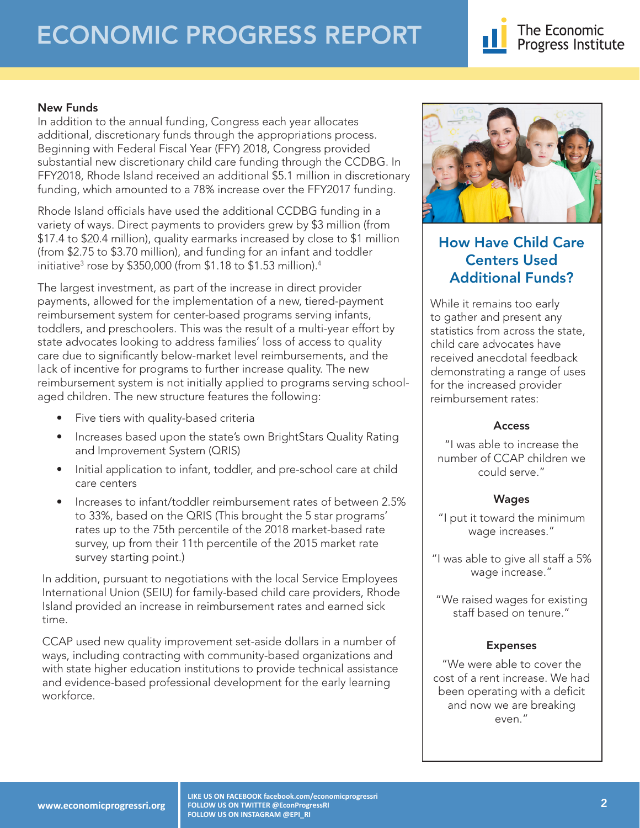# ECONOMIC PROGRESS REPORT



### New Funds

In addition to the annual funding, Congress each year allocates additional, discretionary funds through the appropriations process. Beginning with Federal Fiscal Year (FFY) 2018, Congress provided substantial new discretionary child care funding through the CCDBG. In FFY2018, Rhode Island received an additional \$5.1 million in discretionary funding, which amounted to a 78% increase over the FFY2017 funding.

Rhode Island officials have used the additional CCDBG funding in a variety of ways. Direct payments to providers grew by \$3 million (from \$17.4 to \$20.4 million), quality earmarks increased by close to \$1 million (from \$2.75 to \$3.70 million), and funding for an infant and toddler initiative3 rose by \$350,000 (from \$1.18 to \$1.53 million).4

The largest investment, as part of the increase in direct provider payments, allowed for the implementation of a new, tiered-payment reimbursement system for center-based programs serving infants, toddlers, and preschoolers. This was the result of a multi-year effort by state advocates looking to address families' loss of access to quality care due to significantly below-market level reimbursements, and the lack of incentive for programs to further increase quality. The new reimbursement system is not initially applied to programs serving schoolaged children. The new structure features the following:

- Five tiers with quality-based criteria
- Increases based upon the state's own BrightStars Quality Rating and Improvement System (QRIS)
- Initial application to infant, toddler, and pre-school care at child care centers
- Increases to infant/toddler reimbursement rates of between 2.5% to 33%, based on the QRIS (This brought the 5 star programs' rates up to the 75th percentile of the 2018 market-based rate survey, up from their 11th percentile of the 2015 market rate survey starting point.)

In addition, pursuant to negotiations with the local Service Employees International Union (SEIU) for family-based child care providers, Rhode Island provided an increase in reimbursement rates and earned sick time.

CCAP used new quality improvement set-aside dollars in a number of ways, including contracting with community-based organizations and with state higher education institutions to provide technical assistance and evidence-based professional development for the early learning workforce.



# How Have Child Care Centers Used Additional Funds?

While it remains too early to gather and present any statistics from across the state, child care advocates have received anecdotal feedback demonstrating a range of uses for the increased provider reimbursement rates:

#### Access

"I was able to increase the number of CCAP children we could serve."

## Wages

"I put it toward the minimum wage increases."

"I was able to give all staff a 5% wage increase."

"We raised wages for existing staff based on tenure."

## Expenses

"We were able to cover the cost of a rent increase. We had been operating with a deficit and now we are breaking even."